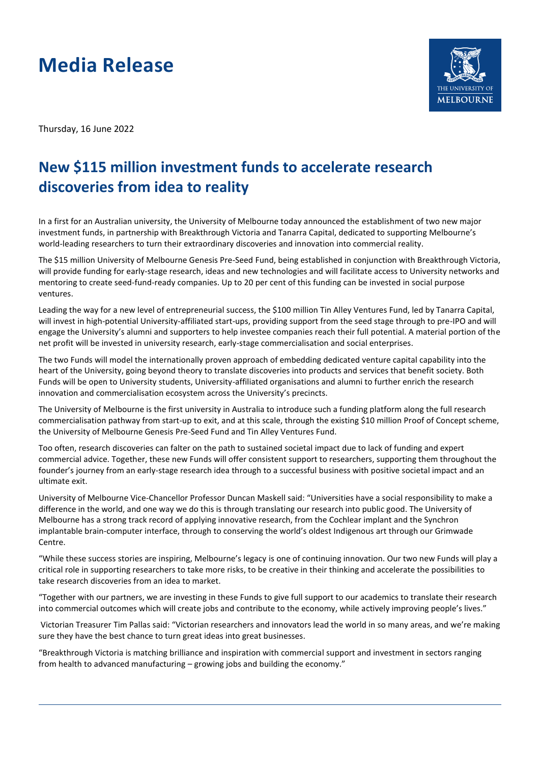## **Media Release**



Thursday, 16 June 2022

## **New \$115 million investment funds to accelerate research discoveries from idea to reality**

In a first for an Australian university, the University of Melbourne today announced the establishment of two new major investment funds, in partnership with Breakthrough Victoria and Tanarra Capital, dedicated to supporting Melbourne's world-leading researchers to turn their extraordinary discoveries and innovation into commercial reality.

The \$15 million University of Melbourne Genesis Pre-Seed Fund, being established in conjunction with Breakthrough Victoria, will provide funding for early-stage research, ideas and new technologies and will facilitate access to University networks and mentoring to create seed-fund-ready companies. Up to 20 per cent of this funding can be invested in social purpose ventures.

Leading the way for a new level of entrepreneurial success, the \$100 million Tin Alley Ventures Fund, led by Tanarra Capital, will invest in high-potential University-affiliated start-ups, providing support from the seed stage through to pre-IPO and will engage the University's alumni and supporters to help investee companies reach their full potential. A material portion of the net profit will be invested in university research, early-stage commercialisation and social enterprises.

The two Funds will model the internationally proven approach of embedding dedicated venture capital capability into the heart of the University, going beyond theory to translate discoveries into products and services that benefit society. Both Funds will be open to University students, University-affiliated organisations and alumni to further enrich the research innovation and commercialisation ecosystem across the University's precincts.

The University of Melbourne is the first university in Australia to introduce such a funding platform along the full research commercialisation pathway from start-up to exit, and at this scale, through the existing \$10 million Proof of Concept scheme, the University of Melbourne Genesis Pre-Seed Fund and Tin Alley Ventures Fund.

Too often, research discoveries can falter on the path to sustained societal impact due to lack of funding and expert commercial advice. Together, these new Funds will offer consistent support to researchers, supporting them throughout the founder's journey from an early-stage research idea through to a successful business with positive societal impact and an ultimate exit.

University of Melbourne Vice-Chancellor Professor Duncan Maskell said: "Universities have a social responsibility to make a difference in the world, and one way we do this is through translating our research into public good. The University of Melbourne has a strong track record of applying innovative research, from the Cochlear implant and the Synchron implantable brain-computer interface, through to conserving the world's oldest Indigenous art through our Grimwade Centre.

"While these success stories are inspiring, Melbourne's legacy is one of continuing innovation. Our two new Funds will play a critical role in supporting researchers to take more risks, to be creative in their thinking and accelerate the possibilities to take research discoveries from an idea to market.

"Together with our partners, we are investing in these Funds to give full support to our academics to translate their research into commercial outcomes which will create jobs and contribute to the economy, while actively improving people's lives."

Victorian Treasurer Tim Pallas said: "Victorian researchers and innovators lead the world in so many areas, and we're making sure they have the best chance to turn great ideas into great businesses.

"Breakthrough Victoria is matching brilliance and inspiration with commercial support and investment in sectors ranging from health to advanced manufacturing – growing jobs and building the economy."